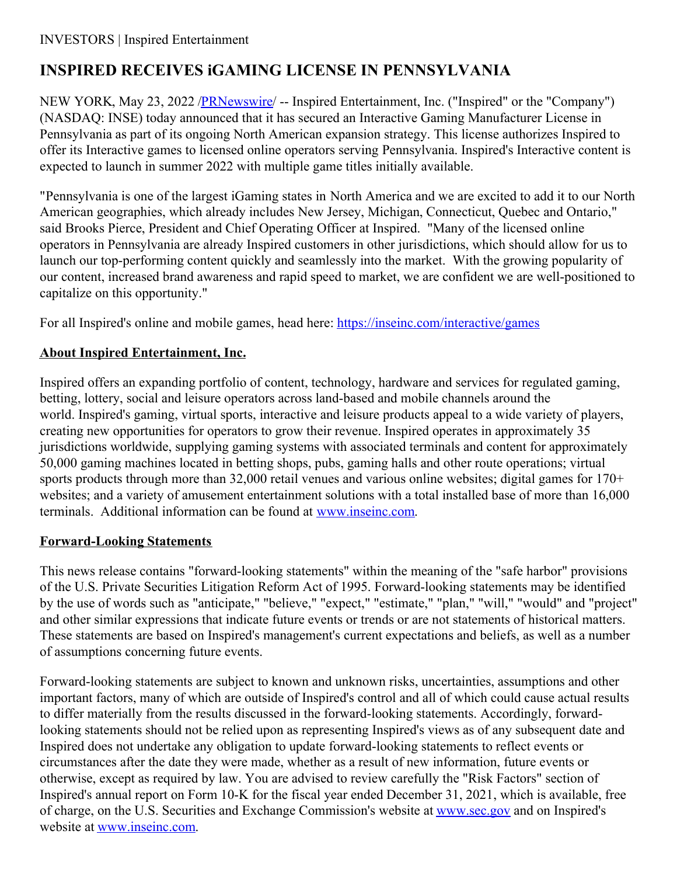## **INSPIRED RECEIVES iGAMING LICENSE IN PENNSYLVANIA**

NEW YORK, May 23, 2022 /**PRNewswire/** -- Inspired Entertainment, Inc. ("Inspired" or the "Company") (NASDAQ: INSE) today announced that it has secured an Interactive Gaming Manufacturer License in Pennsylvania as part of its ongoing North American expansion strategy. This license authorizes Inspired to offer its Interactive games to licensed online operators serving Pennsylvania. Inspired's Interactive content is expected to launch in summer 2022 with multiple game titles initially available.

"Pennsylvania is one of the largest iGaming states in North America and we are excited to add it to our North American geographies, which already includes New Jersey, Michigan, Connecticut, Quebec and Ontario," said Brooks Pierce, President and Chief Operating Officer at Inspired. "Many of the licensed online operators in Pennsylvania are already Inspired customers in other jurisdictions, which should allow for us to launch our top-performing content quickly and seamlessly into the market. With the growing popularity of our content, increased brand awareness and rapid speed to market, we are confident we are well-positioned to capitalize on this opportunity."

For all Inspired's online and mobile games, head here: [https://inseinc.com/interactive/games](https://c212.net/c/link/?t=0&l=en&o=3544665-1&h=2193670643&u=https%3A%2F%2Finseinc.com%2Finteractive%2Fgames&a=https%3A%2F%2Finseinc.com%2Finteractive%2Fgames)

## **About Inspired Entertainment, Inc.**

Inspired offers an expanding portfolio of content, technology, hardware and services for regulated gaming, betting, lottery, social and leisure operators across land-based and mobile channels around the world. Inspired's gaming, virtual sports, interactive and leisure products appeal to a wide variety of players, creating new opportunities for operators to grow their revenue. Inspired operates in approximately 35 jurisdictions worldwide, supplying gaming systems with associated terminals and content for approximately 50,000 gaming machines located in betting shops, pubs, gaming halls and other route operations; virtual sports products through more than 32,000 retail venues and various online websites; digital games for 170+ websites; and a variety of amusement entertainment solutions with a total installed base of more than 16,000 terminals. Additional information can be found at [www.inseinc.com](https://c212.net/c/link/?t=0&l=en&o=3544665-1&h=1519037882&u=http%3A%2F%2Fwww.inseinc.com%2F&a=www.inseinc.com).

## **Forward-Looking Statements**

This news release contains "forward-looking statements" within the meaning of the "safe harbor" provisions of the U.S. Private Securities Litigation Reform Act of 1995. Forward-looking statements may be identified by the use of words such as "anticipate," "believe," "expect," "estimate," "plan," "will," "would" and "project" and other similar expressions that indicate future events or trends or are not statements of historical matters. These statements are based on Inspired's management's current expectations and beliefs, as well as a number of assumptions concerning future events.

Forward-looking statements are subject to known and unknown risks, uncertainties, assumptions and other important factors, many of which are outside of Inspired's control and all of which could cause actual results to differ materially from the results discussed in the forward-looking statements. Accordingly, forwardlooking statements should not be relied upon as representing Inspired's views as of any subsequent date and Inspired does not undertake any obligation to update forward-looking statements to reflect events or circumstances after the date they were made, whether as a result of new information, future events or otherwise, except as required by law. You are advised to review carefully the "Risk Factors" section of Inspired's annual report on Form 10-K for the fiscal year ended December 31, 2021, which is available, free of charge, on the U.S. Securities and Exchange Commission's website at [www.sec.gov](https://c212.net/c/link/?t=0&l=en&o=3544665-1&h=903380404&u=http%3A%2F%2Fwww.sec.gov%2F&a=www.sec.gov) and on Inspired's website at [www.inseinc.com](https://c212.net/c/link/?t=0&l=en&o=3544665-1&h=1519037882&u=http%3A%2F%2Fwww.inseinc.com%2F&a=www.inseinc.com).